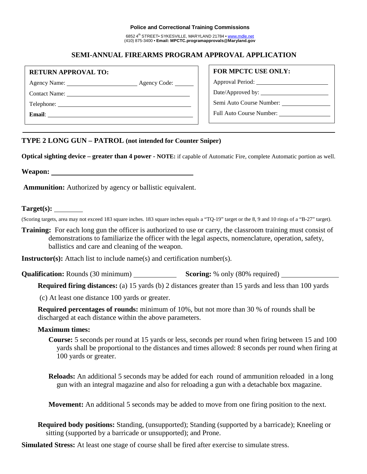#### **Police and Correctional Training Commissions**

6852 4th STREET• SYKESVILLE, MARYLAND 21784 • www.mdle.net (410) 875-3400 • **Email: MPCTC.programapprovals@Maryland.gov**

# **SEMI-ANNUAL FIREARMS PROGRAM APPROVAL APPLICATION**

### **RETURN APPROVAL TO:**

Agency Name: <u>Agency Code:</u>

Contact Name:

Telephone:

**Email**:

## **FOR MPCTC USE ONLY:**

Approval Period:

Date/Approved by: \_\_\_\_\_\_

Semi Auto Course Number:

Full Auto Course Number:

## **TYPE 2 LONG GUN – PATROL (not intended for Counter Sniper)**

**Optical sighting device – greater than 4 power** *-* **NOTE:** if capable of Automatic Fire, complete Automatic portion as well.

**Weapon:**

**Ammunition:** Authorized by agency or ballistic equivalent.

# **Target(s):**

(Scoring targets, area may not exceed 183 square inches. 183 square inches equals a "TQ-19" target or the 8, 9 and 10 rings of a "B-27" target).

**Training:** For each long gun the officer is authorized to use or carry, the classroom training must consist of demonstrations to familiarize the officer with the legal aspects, nomenclature, operation, safety, ballistics and care and cleaning of the weapon.

**Instructor(s):** Attach list to include name(s) and certification number(s).

**Qualification:** Rounds (30 minimum) **Scoring:** % only (80% required)

**Required firing distances:** (a) 15 yards (b) 2 distances greater than 15 yards and less than 100 yards

(c) At least one distance 100 yards or greater.

**Required percentages of rounds:** minimum of 10%, but not more than 30 % of rounds shall be discharged at each distance within the above parameters.

## **Maximum times:**

**Course:** 5 seconds per round at 15 yards or less, seconds per round when firing between 15 and 100 yards shall be proportional to the distances and times allowed: 8 seconds per round when firing at 100 yards or greater.

**Reloads:** An additional 5 seconds may be added for each round of ammunition reloaded in a long gun with an integral magazine and also for reloading a gun with a detachable box magazine.

**Movement:** An additional 5 seconds may be added to move from one firing position to the next.

**Required body positions:** Standing, (unsupported); Standing (supported by a barricade); Kneeling or sitting (supported by a barricade or unsupported); and Prone.

**Simulated Stress:** At least one stage of course shall be fired after exercise to simulate stress.